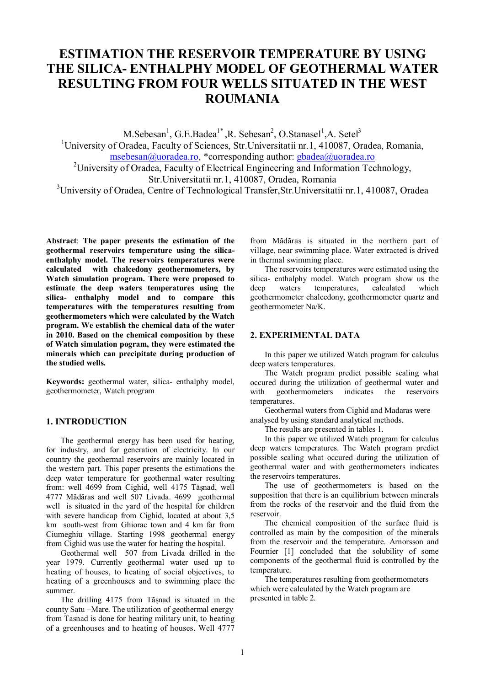# **ESTIMATION THE RESERVOIR TEMPERATURE BY USING THE SILICA- ENTHALPHY MODEL OF GEOTHERMAL WATER RESULTING FROM FOUR WELLS SITUATED IN THE WEST ROUMANIA**

M.Sebesan<sup>1</sup>, G.E.Badea<sup>1\*</sup>, R. Sebesan<sup>2</sup>, O.Stanasel<sup>1</sup>, A. Setel<sup>3</sup>

<sup>1</sup>University of Oradea, Faculty of Sciences, Str. Universitatii nr. 1, 410087, Oradea, Romania, msebesan@uoradea.ro, \*corresponding author: gbadea@uoradea.ro <sup>2</sup>University of Oradea, Faculty of Electrical Engineering and Information Technology,

Str.Universitatii nr.1, 410087, Oradea, Romania

<sup>3</sup>University of Oradea, Centre of Technological Transfer, Str. Universitatii nr. 1, 410087, Oradea

**Abstract**: **The paper presents the estimation of the geothermal reservoirs temperature using the silicaenthalphy model. The reservoirs temperatures were calculated with chalcedony geothermometers, by Watch simulation program. There were proposed to estimate the deep waters temperatures using the silica- enthalphy model and to compare this temperatures with the temperatures resulting from geothermometers which were calculated by the Watch program. We establish the chemical data of the water in 2010. Based on the chemical composition by these of Watch simulation pogram, they were estimated the minerals which can precipitate during production of the studied wells.** 

**Keywords:** geothermal water, silica- enthalphy model, geothermometer, Watch program

## **1. INTRODUCTION**

The geothermal energy has been used for heating, for industry, and for generation of electricity. In our country the geothermal reservoirs are mainly located in the western part. This paper presents the estimations the deep water temperature for geothermal water resulting from: well 4699 from Cighid, well 4175 Tăşnad, well 4777 Mădăras and well 507 Livada. 4699 geothermal well is situated in the yard of the hospital for children with severe handicap from Cighid, located at about 3,5 km south-west from Ghiorac town and 4 km far from Ciumeghiu village. Starting 1998 geothermal energy from Cighid was use the water for heating the hospital.

Geothermal well 507 from Livada drilled in the year 1979. Currently geothermal water used up to heating of houses, to heating of social objectives, to heating of a greenhouses and to swimming place the summer.

The drilling 4175 from Tăşnad is situated in the county Satu –Mare. The utilization of geothermal energy from Tasnad is done for heating military unit, to heating of a greenhouses and to heating of houses. Well 4777

from Mădăras is situated in the northern part of village, near swimming place. Water extracted is drived in thermal swimming place.

The reservoirs temperatures were estimated using the silica- enthalphy model. Watch program show us the deep waters temperatures, calculated which geothermometer chalcedony, geothermometer quartz and geothermometer Na/K.

#### **2. EXPERIMENTAL DATA**

In this paper we utilized Watch program for calculus deep waters temperatures.

The Watch program predict possible scaling what occured during the utilization of geothermal water and with geothermometers indicates the reservoirs temperatures.

Geothermal waters from Cighid and Madaras were analysed by using standard analytical methods.

The results are presented in tables 1.

In this paper we utilized Watch program for calculus deep waters temperatures. The Watch program predict possible scaling what occured during the utilization of geothermal water and with geothermometers indicates the reservoirs temperatures.

The use of geothermometers is based on the supposition that there is an equilibrium between minerals from the rocks of the reservoir and the fluid from the reservoir.

The chemical composition of the surface fluid is controlled as main by the composition of the minerals from the reservoir and the temperature. Arnorsson and Fournier [1] concluded that the solubility of some components of the geothermal fluid is controlled by the temperature.

The temperatures resulting from geothermometers which were calculated by the Watch program are presented in table 2.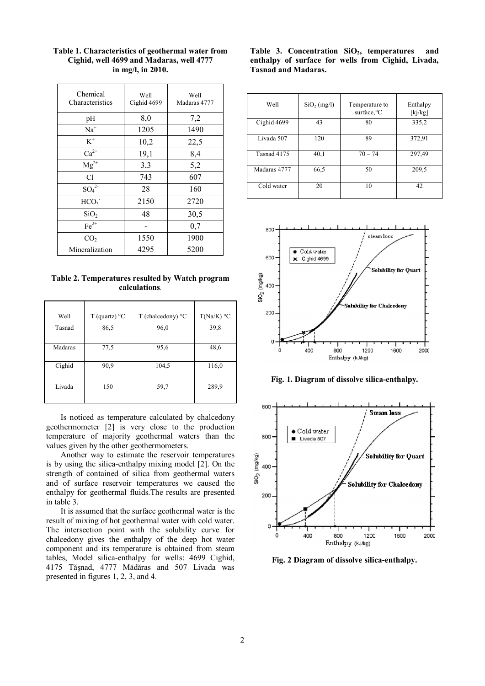| Chemical<br>Characteristics | Well<br>Cighid 4699 | Well<br>Madaras 4777 |
|-----------------------------|---------------------|----------------------|
| pH                          | 8,0                 | 7,2                  |
| $Na+$                       | 1205                | 1490                 |
| $\mbox{K}^+$                | 10,2                | 22,5                 |
| $Ca^{2+}$                   | 19,1                | 8,4                  |
| $Mg^{2+}$                   | 3,3                 | 5,2                  |
| $Cl^{\dagger}$              | 743                 | 607                  |
| $SO_4^2$                    | 28                  | 160                  |
| HCO <sub>3</sub>            | 2150                | 2720                 |
| SiO <sub>2</sub>            | 48                  | 30,5                 |
| $Fe2+$                      |                     | 0,7                  |
| CO <sub>2</sub>             | 1550                | 1900                 |
| Mineralization              | 4295                | 5200                 |

**Table 1. Characteristics of geothermal water from Cighid, well 4699 and Madaras, well 4777 in mg/l, in 2010.** 

**Table 2. Temperatures resulted by Watch program calculations***.* 

| Well    | T (quartz) $^{\circ}$ C | T (chalcedony) $\degree$ C | $T(Na/K)$ °C |
|---------|-------------------------|----------------------------|--------------|
| Tasnad  | 86,5                    | 96,0                       | 39,8         |
| Madaras | 77,5                    | 95,6                       | 48,6         |
| Cighid  | 90,9                    | 104,5                      | 116,0        |
| Livada  | 150                     | 59,7                       | 289,9        |

Is noticed as temperature calculated by chalcedony geothermometer [2] is very close to the production temperature of majority geothermal waters than the values given by the other geothermometers.

Another way to estimate the reservoir temperatures is by using the silica-enthalpy mixing model [2]. On the strength of contained of silica from geothermal waters and of surface reservoir temperatures we caused the enthalpy for geothermal fluids.The results are presented in table 3.

It is assumed that the surface geothermal water is the result of mixing of hot geothermal water with cold water. The intersection point with the solubility curve for chalcedony gives the enthalpy of the deep hot water component and its temperature is obtained from steam tables, Model silica-enthalpy for wells: 4699 Cighid, 4175 Tăşnad, 4777 Mădăras and 507 Livada was presented in figures 1, 2, 3, and 4.

Table 3. Concentration SiO<sub>2</sub>, temperatures and **enthalpy of surface for wells from Cighid, Livada, Tasnad and Madaras.** 

| Well         | $SiO2$ (mg/l) | Temperature to<br>surface. <sup>o</sup> C | Enthalpy<br>[kj/kg] |
|--------------|---------------|-------------------------------------------|---------------------|
| Cighid 4699  | 43            | 80                                        | 335,2               |
| Livada 507   | 120           | 89                                        | 372,91              |
| Tasnad 4175  | 40,1          | $70 - 74$                                 | 297,49              |
| Madaras 4777 | 66,5          | 50                                        | 209,5               |
| Cold water   | 20            | 10                                        | 42                  |



**Fig. 1. Diagram of dissolve silica-enthalpy.**



**Fig. 2 Diagram of dissolve silica-enthalpy.**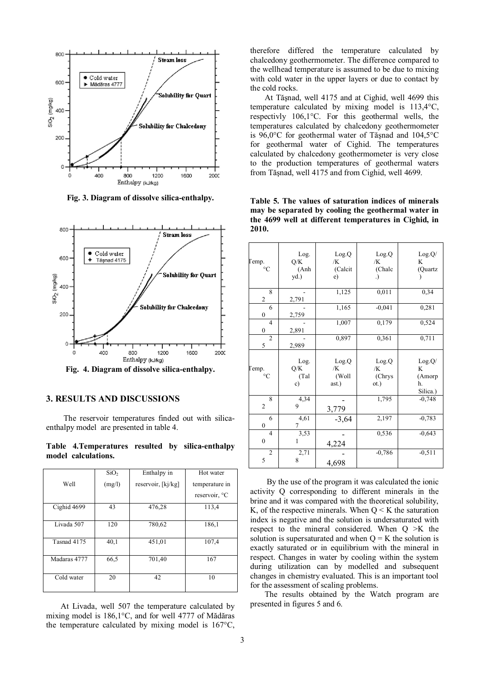

**Fig. 3. Diagram of dissolve silica-enthalpy.** 



**Fig. 4. Diagram of dissolve silica-enthalpy.** 

## **3. RESULTS AND DISCUSSIONS**

The reservoir temperatures finded out with silicaenthalpy model are presented in table 4.

**Table 4.Temperatures resulted by silica-enthalpy model calculations.** 

|              | SiO <sub>2</sub> | Enthalpy in        | Hot water      |
|--------------|------------------|--------------------|----------------|
| Well         | (mg/l)           | reservoir, [kj/kg] | temperature in |
|              |                  |                    | reservoir, °C  |
| Cighid 4699  | 43               | 476,28             | 113,4          |
| Livada 507   | 120              | 780,62             | 186,1          |
| Tasnad 4175  | 40,1             | 451,01             | 107.4          |
| Madaras 4777 | 66,5             | 701,40             | 167            |
| Cold water   | 20               | 42                 | 10             |

At Livada, well 507 the temperature calculated by mixing model is 186,1°C, and for well 4777 of Mădăras the temperature calculated by mixing model is 167°C, therefore differed the temperature calculated by chalcedony geothermometer. The difference compared to the wellhead temperature is assumed to be due to mixing with cold water in the upper layers or due to contact by the cold rocks.

At Tăşnad, well 4175 and at Cighid, well 4699 this temperature calculated by mixing model is 113,4°C, respectivly 106,1°C. For this geothermal wells, the temperatures calculated by chalcedony geothermometer is 96,0°C for geothermal water of Tăşnad and 104,5°C for geothermal water of Cighid. The temperatures calculated by chalcedony geothermometer is very close to the production temperatures of geothermal waters from Tăşnad, well 4175 and from Cighid, well 4699.

**Table 5. The values of saturation indices of minerals may be separated by cooling the geothermal water in the 4699 well at different temperatures in Cighid, in 2010.** 

| $\Gamma$ emp.                      | Log.<br>Q/K<br>(Anh)<br>yd.) | Log.Q<br>/K<br>(Calcit<br>e)  | Log.Q<br>/K<br>(Chalc<br>.)   | Log.Q/<br>K<br>(Quartz                  |
|------------------------------------|------------------------------|-------------------------------|-------------------------------|-----------------------------------------|
| 8<br>$\overline{c}$                | 2,791                        | 1,125                         | 0,011                         | 0,34                                    |
| 6<br>0                             | 2,759                        | 1,165                         | $-0,041$                      | 0,281                                   |
| $\overline{4}$<br>$\boldsymbol{0}$ | 2,891                        | 1,007                         | 0,179                         | 0,524                                   |
| $\overline{c}$<br>5                | 2,989                        | 0,897                         | 0,361                         | 0,711                                   |
| $Temp.$ <sup>o</sup> C             | Log.<br>Q/K<br>(Tal<br>c)    | Log.Q<br>/K<br>(Woll<br>ast.) | Log.Q<br>/K<br>(Chrys<br>ot.) | Log.Q/<br>K<br>(Amorp<br>h.<br>Silica.) |
| 8<br>$\mathbf{2}$                  | 4,34<br>9                    | 3,779                         | 1,795                         | $-0,748$                                |
| 6<br>$\boldsymbol{0}$              | 4,61<br>7                    | $-3,64$                       | 2,197                         | $-0,783$                                |
| $\overline{4}$<br>$\mathbf{0}$     | 3,53<br>1                    | 4,224                         | 0,536                         | $-0,643$                                |
| $\overline{2}$<br>5                | 2,71<br>8                    | 4,698                         | $-0,786$                      | $-0,511$                                |

 By the use of the program it was calculated the ionic activity Q corresponding to different minerals in the brine and it was compared with the theoretical solubility, K, of the respective minerals. When  $Q \le K$  the saturation index is negative and the solution is undersaturated with respect to the mineral considered. When Q >K the solution is supersaturated and when  $Q = K$  the solution is exactly saturated or in equilibrium with the mineral in respect. Changes in water by cooling within the system during utilization can by modelled and subsequent changes in chemistry evaluated. This is an important tool for the assessment of scaling problems.

The results obtained by the Watch program are presented in figures 5 and 6.